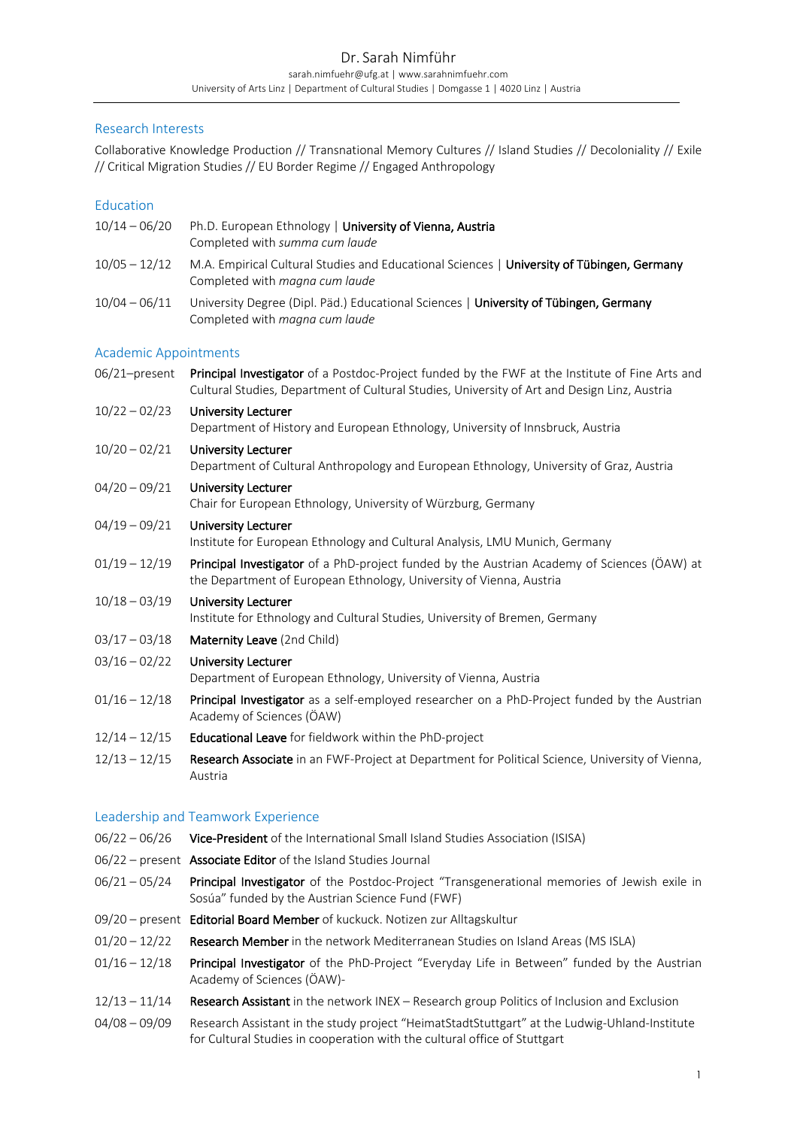# Research Interests

Collaborative Knowledge Production // Transnational Memory Cultures // Island Studies // Decoloniality // Exile // Critical Migration Studies // EU Border Regime // Engaged Anthropology

# **Education**

| $10/14 - 06/20$              | Ph.D. European Ethnology   University of Vienna, Austria<br>Completed with summa cum laude                                                                                                      |
|------------------------------|-------------------------------------------------------------------------------------------------------------------------------------------------------------------------------------------------|
| $10/05 - 12/12$              | M.A. Empirical Cultural Studies and Educational Sciences   University of Tübingen, Germany<br>Completed with magna cum laude                                                                    |
| $10/04 - 06/11$              | University Degree (Dipl. Päd.) Educational Sciences   University of Tübingen, Germany<br>Completed with magna cum laude                                                                         |
| <b>Academic Appointments</b> |                                                                                                                                                                                                 |
| 06/21-present                | Principal Investigator of a Postdoc-Project funded by the FWF at the Institute of Fine Arts and<br>Cultural Studies, Department of Cultural Studies, University of Art and Design Linz, Austria |
| $10/22 - 02/23$              | <b>University Lecturer</b><br>Department of History and European Ethnology, University of Innsbruck, Austria                                                                                    |
| $10/20 - 02/21$              | <b>University Lecturer</b><br>Department of Cultural Anthropology and European Ethnology, University of Graz, Austria                                                                           |
| $04/20 - 09/21$              | <b>University Lecturer</b><br>Chair for European Ethnology, University of Würzburg, Germany                                                                                                     |
| $04/19 - 09/21$              | <b>University Lecturer</b><br>Institute for European Ethnology and Cultural Analysis, LMU Munich, Germany                                                                                       |
| $01/19 - 12/19$              | Principal Investigator of a PhD-project funded by the Austrian Academy of Sciences (ÖAW) at<br>the Department of European Ethnology, University of Vienna, Austria                              |
| $10/18 - 03/19$              | <b>University Lecturer</b><br>Institute for Ethnology and Cultural Studies, University of Bremen, Germany                                                                                       |
| $03/17 - 03/18$              | Maternity Leave (2nd Child)                                                                                                                                                                     |
| $03/16 - 02/22$              | <b>University Lecturer</b><br>Department of European Ethnology, University of Vienna, Austria                                                                                                   |
| $01/16 - 12/18$              | Principal Investigator as a self-employed researcher on a PhD-Project funded by the Austrian<br>Academy of Sciences (ÖAW)                                                                       |
| $12/14 - 12/15$              | Educational Leave for fieldwork within the PhD-project                                                                                                                                          |
| $12/13 - 12/15$              | Research Associate in an FWF-Project at Department for Political Science, University of Vienna,<br>Austria                                                                                      |
|                              |                                                                                                                                                                                                 |

# Leadership and Teamwork Experience

- 06/22 06/26 Vice-President of the International Small Island Studies Association (ISISA)
- 06/22 present Associate Editor of the Island Studies Journal
- 06/21 05/24 Principal Investigator of the Postdoc-Project "Transgenerational memories of Jewish exile in Sosúa" funded by the Austrian Science Fund (FWF)
- 09/20 present Editorial Board Member of kuckuck. Notizen zur Alltagskultur
- 01/20 12/22 Research Member in the network Mediterranean Studies on Island Areas (MS ISLA)
- 01/16 12/18 Principal Investigator of the PhD-Project "Everyday Life in Between" funded by the Austrian Academy of Sciences (ÖAW)-
- 12/13 11/14 Research Assistant in the network INEX Research group Politics of Inclusion and Exclusion
- 04/08 09/09 Research Assistant in the study project "HeimatStadtStuttgart" at the Ludwig-Uhland-Institute for Cultural Studies in cooperation with the cultural office of Stuttgart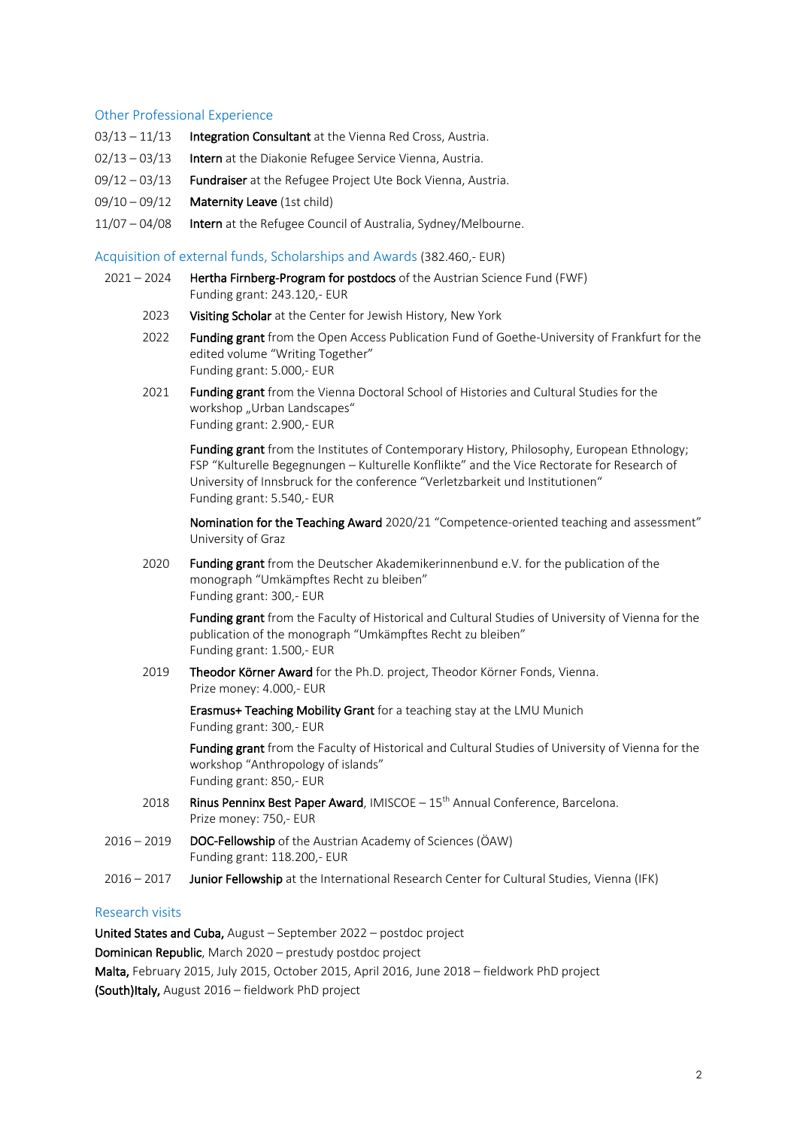#### Other Professional Experience

- 03/13 11/13 Integration Consultant at the Vienna Red Cross, Austria.
- 02/13 03/13 **Intern** at the Diakonie Refugee Service Vienna, Austria.
- 09/12 03/13 Fundraiser at the Refugee Project Ute Bock Vienna, Austria.
- 09/10 09/12 **Maternity Leave** (1st child)
- 11/07 04/08 Intern at the Refugee Council of Australia, Sydney/Melbourne.

#### Acquisition of external funds, Scholarships and Awards (382.460,- EUR)

- 2021 2024 Hertha Firnberg-Program for postdocs of the Austrian Science Fund (FWF) Funding grant: 243.120,- EUR
	- 2023 Visiting Scholar at the Center for Jewish History, New York
	- 2022 Funding grant from the Open Access Publication Fund of Goethe-University of Frankfurt for the edited volume "Writing Together" Funding grant: 5.000,- EUR
	- 2021 Funding grant from the Vienna Doctoral School of Histories and Cultural Studies for the workshop "Urban Landscapes" Funding grant: 2.900,- EUR

Funding grant from the Institutes of Contemporary History, Philosophy, European Ethnology; FSP "Kulturelle Begegnungen – Kulturelle Konflikte" and the Vice Rectorate for Research of University of Innsbruck for the conference "Verletzbarkeit und Institutionen" Funding grant: 5.540,- EUR

Nomination for the Teaching Award 2020/21 "Competence-oriented teaching and assessment" University of Graz

2020 Funding grant from the Deutscher Akademikerinnenbund e.V. for the publication of the monograph "Umkämpftes Recht zu bleiben" Funding grant: 300,- EUR

Funding grant from the Faculty of Historical and Cultural Studies of University of Vienna for the publication of the monograph "Umkämpftes Recht zu bleiben" Funding grant: 1.500,- EUR

2019 Theodor Körner Award for the Ph.D. project, Theodor Körner Fonds, Vienna. Prize money: 4.000,- EUR

> Erasmus+ Teaching Mobility Grant for a teaching stay at the LMU Munich Funding grant: 300,- EUR

Funding grant from the Faculty of Historical and Cultural Studies of University of Vienna for the workshop "Anthropology of islands" Funding grant: 850,- EUR

- 2018 Rinus Penninx Best Paper Award, IMISCOE  $-15<sup>th</sup>$  Annual Conference, Barcelona. Prize money: 750,- EUR
- 2016 2019 DOC-Fellowship of the Austrian Academy of Sciences (ÖAW) Funding grant: 118.200,- EUR
- 2016 2017 Junior Fellowship at the International Research Center for Cultural Studies, Vienna (IFK)

### Research visits

United States and Cuba, August – September 2022 – postdoc project Dominican Republic, March 2020 – prestudy postdoc project Malta, February 2015, July 2015, October 2015, April 2016, June 2018 – fieldwork PhD project (South)Italy, August 2016 – fieldwork PhD project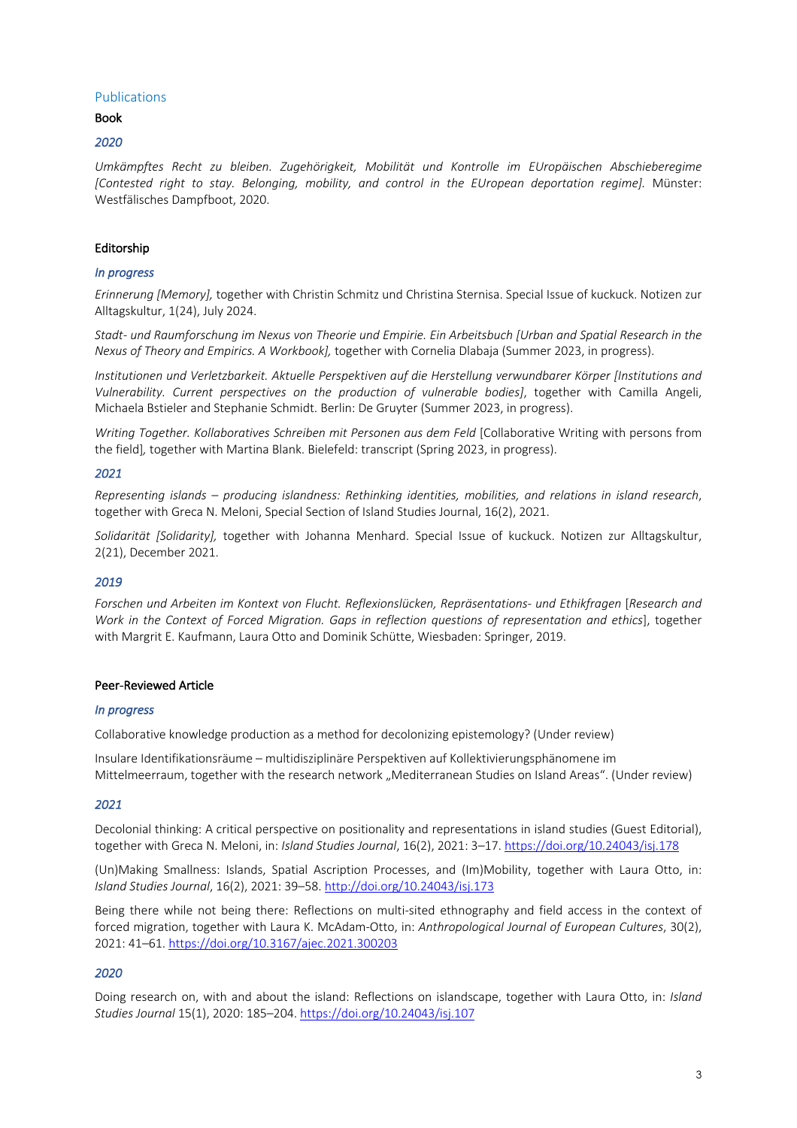### Publications

### Book

### *2020*

*Umkämpftes Recht zu bleiben. Zugehörigkeit, Mobilität und Kontrolle im EUropäischen Abschieberegime [Contested right to stay. Belonging, mobility, and control in the EUropean deportation regime].* Münster: Westfälisches Dampfboot, 2020.

### Editorship

### *In progress*

*Erinnerung [Memory],* together with Christin Schmitz und Christina Sternisa. Special Issue of kuckuck. Notizen zur Alltagskultur, 1(24), July 2024.

*Stadt- und Raumforschung im Nexus von Theorie und Empirie. Ein Arbeitsbuch [Urban and Spatial Research in the Nexus of Theory and Empirics. A Workbook],* together with Cornelia Dlabaja (Summer 2023, in progress).

*Institutionen und Verletzbarkeit. Aktuelle Perspektiven auf die Herstellung verwundbarer Körper [Institutions and Vulnerability. Current perspectives on the production of vulnerable bodies]*, together with Camilla Angeli, Michaela Bstieler and Stephanie Schmidt. Berlin: De Gruyter (Summer 2023, in progress).

*Writing Together. Kollaboratives Schreiben mit Personen aus dem Feld* [Collaborative Writing with persons from the field]*,* together with Martina Blank. Bielefeld: transcript (Spring 2023, in progress).

### *2021*

*Representing islands – producing islandness: Rethinking identities, mobilities, and relations in island research*, together with Greca N. Meloni, Special Section of Island Studies Journal, 16(2), 2021.

*Solidarität [Solidarity],* together with Johanna Menhard. Special Issue of kuckuck. Notizen zur Alltagskultur, 2(21), December 2021.

### *2019*

*Forschen und Arbeiten im Kontext von Flucht. Reflexionslücken, Repräsentations- und Ethikfragen* [*Research and Work in the Context of Forced Migration. Gaps in reflection questions of representation and ethics*], together with Margrit E. Kaufmann, Laura Otto and Dominik Schütte, Wiesbaden: Springer, 2019.

### Peer-Reviewed Article

### *In progress*

Collaborative knowledge production as a method for decolonizing epistemology? (Under review)

Insulare Identifikationsräume – multidisziplinäre Perspektiven auf Kollektivierungsphänomene im Mittelmeerraum, together with the research network "Mediterranean Studies on Island Areas". (Under review)

### *2021*

Decolonial thinking: A critical perspective on positionality and representations in island studies (Guest Editorial), together with Greca N. Meloni, in: *Island Studies Journal*, 16(2), 2021: 3–17. https://doi.org/10.24043/isj.178

(Un)Making Smallness: Islands, Spatial Ascription Processes, and (Im)Mobility, together with Laura Otto, in: *Island Studies Journal*, 16(2), 2021: 39–58. http://doi.org/10.24043/isj.173

Being there while not being there: Reflections on multi-sited ethnography and field access in the context of forced migration, together with Laura K. McAdam-Otto, in: *Anthropological Journal of European Cultures*, 30(2), 2021: 41–61. https://doi.org/10.3167/ajec.2021.300203

# *2020*

Doing research on, with and about the island: Reflections on islandscape, together with Laura Otto, in: *Island Studies Journal* 15(1), 2020: 185–204. https://doi.org/10.24043/isj.107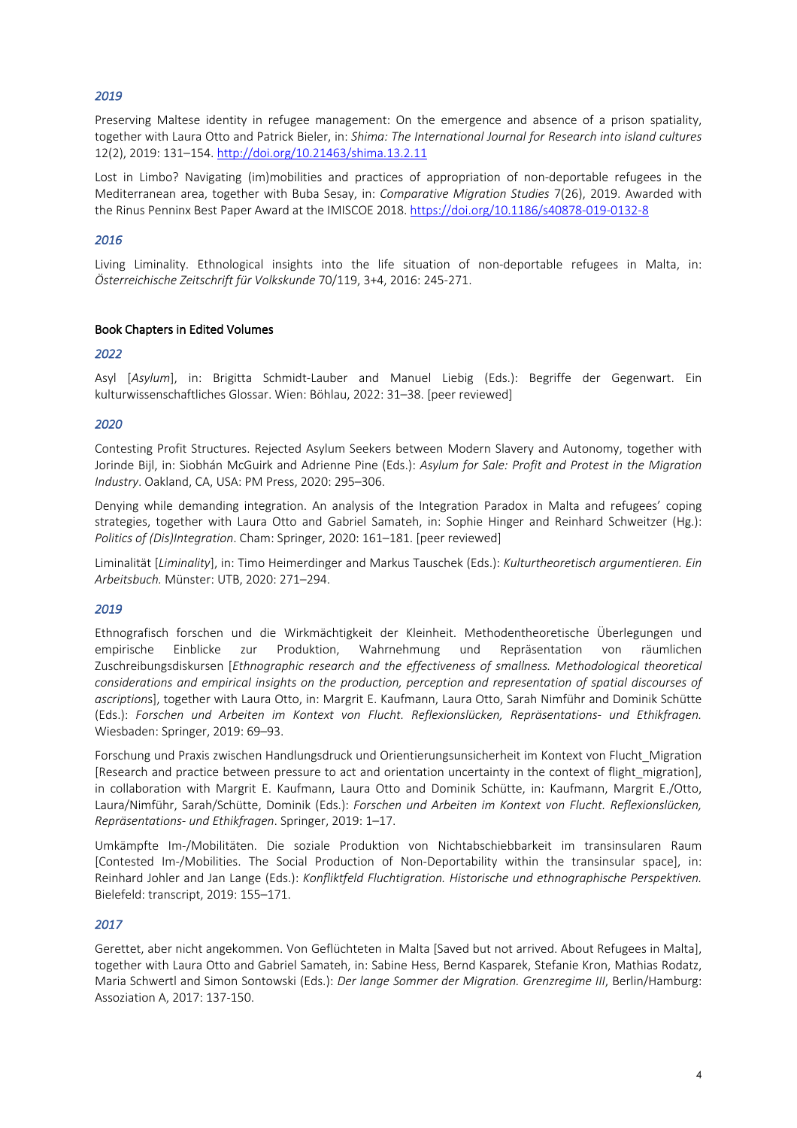*2019* 

Preserving Maltese identity in refugee management: On the emergence and absence of a prison spatiality, together with Laura Otto and Patrick Bieler, in: *Shima: The International Journal for Research into island cultures* 12(2), 2019: 131–154. http://doi.org/10.21463/shima.13.2.11

Lost in Limbo? Navigating (im)mobilities and practices of appropriation of non-deportable refugees in the Mediterranean area, together with Buba Sesay, in: *Comparative Migration Studies* 7(26), 2019. Awarded with the Rinus Penninx Best Paper Award at the IMISCOE 2018. https://doi.org/10.1186/s40878-019-0132-8

### *2016*

Living Liminality. Ethnological insights into the life situation of non-deportable refugees in Malta, in: *Österreichische Zeitschrift für Volkskunde* 70/119, 3+4, 2016: 245-271.

### Book Chapters in Edited Volumes

### *2022*

Asyl [*Asylum*], in: Brigitta Schmidt-Lauber and Manuel Liebig (Eds.): Begriffe der Gegenwart. Ein kulturwissenschaftliches Glossar. Wien: Böhlau, 2022: 31–38. [peer reviewed]

### *2020*

Contesting Profit Structures. Rejected Asylum Seekers between Modern Slavery and Autonomy, together with Jorinde Bijl, in: Siobhán McGuirk and Adrienne Pine (Eds.): *Asylum for Sale: Profit and Protest in the Migration Industry*. Oakland, CA, USA: PM Press, 2020: 295–306.

Denying while demanding integration. An analysis of the Integration Paradox in Malta and refugees' coping strategies, together with Laura Otto and Gabriel Samateh, in: Sophie Hinger and Reinhard Schweitzer (Hg.): *Politics of (Dis)Integration*. Cham: Springer, 2020: 161–181. [peer reviewed]

Liminalität [*Liminality*], in: Timo Heimerdinger and Markus Tauschek (Eds.): *Kulturtheoretisch argumentieren. Ein Arbeitsbuch.* Münster: UTB, 2020: 271–294.

# *2019*

Ethnografisch forschen und die Wirkmächtigkeit der Kleinheit. Methodentheoretische Überlegungen und empirische Einblicke zur Produktion, Wahrnehmung und Repräsentation von räumlichen Zuschreibungsdiskursen [*Ethnographic research and the effectiveness of smallness. Methodological theoretical considerations and empirical insights on the production, perception and representation of spatial discourses of ascription*s], together with Laura Otto, in: Margrit E. Kaufmann, Laura Otto, Sarah Nimführ and Dominik Schütte (Eds.): *Forschen und Arbeiten im Kontext von Flucht. Reflexionslücken, Repräsentations- und Ethikfragen.* Wiesbaden: Springer, 2019: 69–93.

Forschung und Praxis zwischen Handlungsdruck und Orientierungsunsicherheit im Kontext von Flucht\_Migration [Research and practice between pressure to act and orientation uncertainty in the context of flight migration], in collaboration with Margrit E. Kaufmann, Laura Otto and Dominik Schütte, in: Kaufmann, Margrit E./Otto, Laura/Nimführ, Sarah/Schütte, Dominik (Eds.): *Forschen und Arbeiten im Kontext von Flucht. Reflexionslücken, Repräsentations- und Ethikfragen*. Springer, 2019: 1–17.

Umkämpfte Im-/Mobilitäten. Die soziale Produktion von Nichtabschiebbarkeit im transinsularen Raum [Contested Im-/Mobilities. The Social Production of Non-Deportability within the transinsular space], in: Reinhard Johler and Jan Lange (Eds.): *Konfliktfeld Fluchtigration. Historische und ethnographische Perspektiven.*  Bielefeld: transcript, 2019: 155–171.

# *2017*

Gerettet, aber nicht angekommen. Von Geflüchteten in Malta [Saved but not arrived. About Refugees in Malta], together with Laura Otto and Gabriel Samateh, in: Sabine Hess, Bernd Kasparek, Stefanie Kron, Mathias Rodatz, Maria Schwertl and Simon Sontowski (Eds.): *Der lange Sommer der Migration. Grenzregime III*, Berlin/Hamburg: Assoziation A, 2017: 137-150.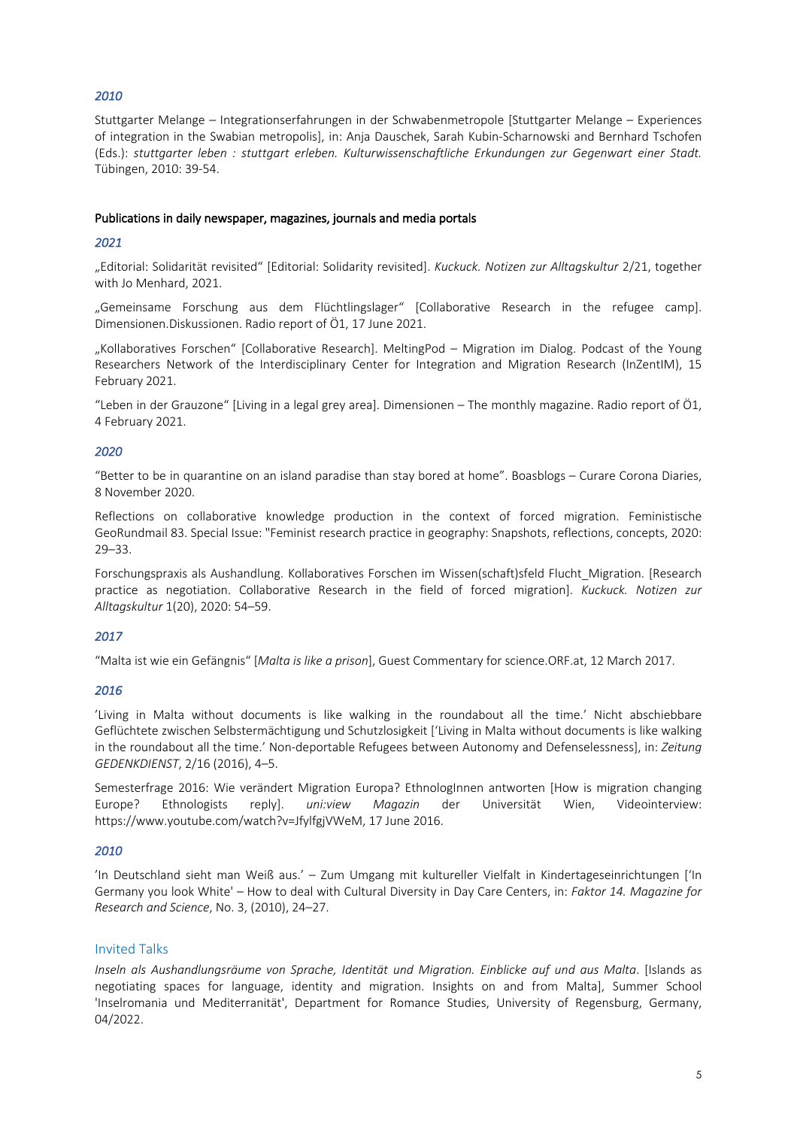# *2010*

Stuttgarter Melange – Integrationserfahrungen in der Schwabenmetropole [Stuttgarter Melange – Experiences of integration in the Swabian metropolis], in: Anja Dauschek, Sarah Kubin-Scharnowski and Bernhard Tschofen (Eds.): *stuttgarter leben : stuttgart erleben. Kulturwissenschaftliche Erkundungen zur Gegenwart einer Stadt.* Tübingen, 2010: 39-54.

### Publications in daily newspaper, magazines, journals and media portals

### *2021*

"Editorial: Solidarität revisited" [Editorial: Solidarity revisited]. *Kuckuck. Notizen zur Alltagskultur* 2/21, together with Jo Menhard, 2021.

"Gemeinsame Forschung aus dem Flüchtlingslager" [Collaborative Research in the refugee camp]. Dimensionen.Diskussionen. Radio report of Ö1, 17 June 2021.

"Kollaboratives Forschen" [Collaborative Research]. MeltingPod – Migration im Dialog. Podcast of the Young Researchers Network of the Interdisciplinary Center for Integration and Migration Research (InZentIM), 15 February 2021.

"Leben in der Grauzone" [Living in a legal grey area]. Dimensionen – The monthly magazine. Radio report of Ö1, 4 February 2021.

### *2020*

"Better to be in quarantine on an island paradise than stay bored at home". Boasblogs – Curare Corona Diaries, 8 November 2020.

Reflections on collaborative knowledge production in the context of forced migration. Feministische GeoRundmail 83. Special Issue: "Feminist research practice in geography: Snapshots, reflections, concepts, 2020: 29–33.

Forschungspraxis als Aushandlung. Kollaboratives Forschen im Wissen(schaft)sfeld Flucht\_Migration. [Research practice as negotiation. Collaborative Research in the field of forced migration]. *Kuckuck. Notizen zur Alltagskultur* 1(20), 2020: 54–59.

# *2017*

"Malta ist wie ein Gefängnis" [*Malta is like a prison*], Guest Commentary for science.ORF.at, 12 March 2017.

# *2016*

'Living in Malta without documents is like walking in the roundabout all the time.' Nicht abschiebbare Geflüchtete zwischen Selbstermächtigung und Schutzlosigkeit ['Living in Malta without documents is like walking in the roundabout all the time.' Non-deportable Refugees between Autonomy and Defenselessness], in: *Zeitung GEDENKDIENST*, 2/16 (2016), 4–5.

Semesterfrage 2016: Wie verändert Migration Europa? EthnologInnen antworten [How is migration changing Europe? Ethnologists reply]. *uni:view Magazin* der Universität Wien, Videointerview: https://www.youtube.com/watch?v=JfylfgjVWeM, 17 June 2016.

### *2010*

'In Deutschland sieht man Weiß aus.' – Zum Umgang mit kultureller Vielfalt in Kindertageseinrichtungen ['In Germany you look White' – How to deal with Cultural Diversity in Day Care Centers, in: *Faktor 14. Magazine for Research and Science*, No. 3, (2010), 24–27.

# Invited Talks

*Inseln als Aushandlungsräume von Sprache, Identität und Migration. Einblicke auf und aus Malta*. [Islands as negotiating spaces for language, identity and migration. Insights on and from Malta], Summer School 'Inselromania und Mediterranität', Department for Romance Studies, University of Regensburg, Germany, 04/2022.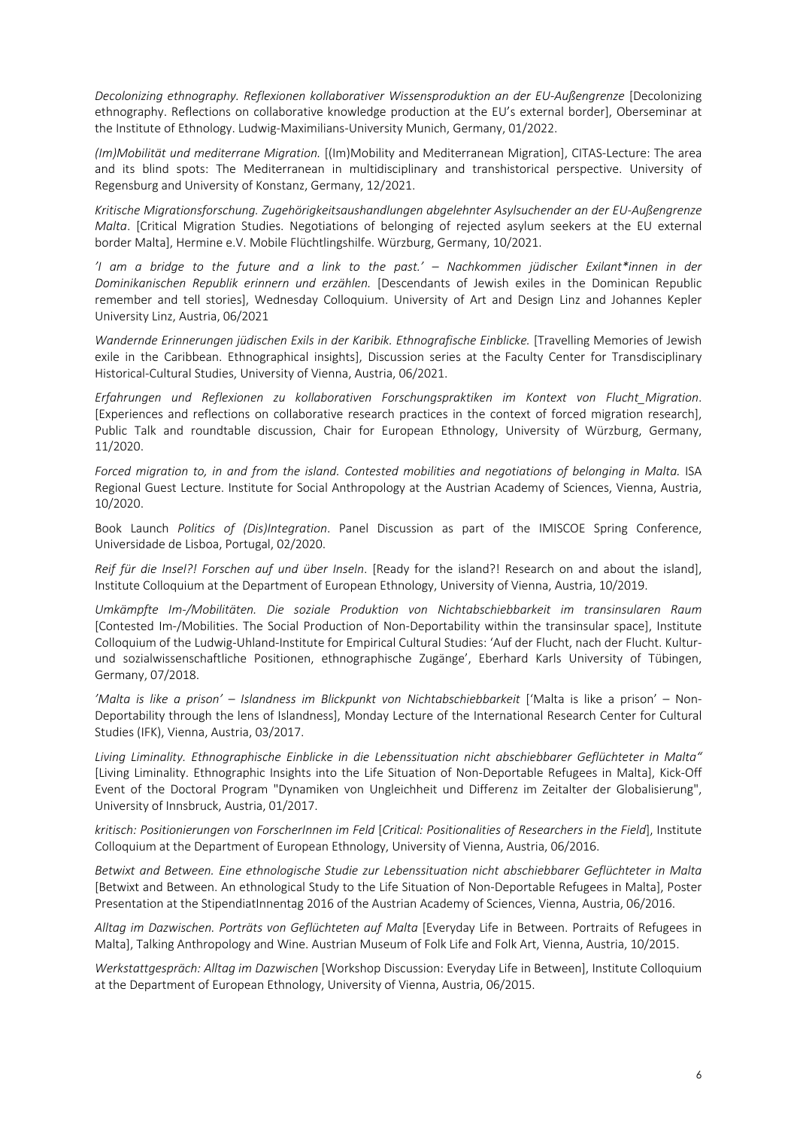*Decolonizing ethnography. Reflexionen kollaborativer Wissensproduktion an der EU-Außengrenze* [Decolonizing ethnography. Reflections on collaborative knowledge production at the EU's external border], Oberseminar at the Institute of Ethnology. Ludwig-Maximilians-University Munich, Germany, 01/2022.

*(Im)Mobilität und mediterrane Migration.* [(Im)Mobility and Mediterranean Migration], CITAS-Lecture: The area and its blind spots: The Mediterranean in multidisciplinary and transhistorical perspective. University of Regensburg and University of Konstanz, Germany, 12/2021.

*Kritische Migrationsforschung. Zugehörigkeitsaushandlungen abgelehnter Asylsuchender an der EU-Außengrenze Malta*. [Critical Migration Studies. Negotiations of belonging of rejected asylum seekers at the EU external border Malta], Hermine e.V. Mobile Flüchtlingshilfe. Würzburg, Germany, 10/2021.

*'I am a bridge to the future and a link to the past.' – Nachkommen jüdischer Exilant\*innen in der Dominikanischen Republik erinnern und erzählen.* [Descendants of Jewish exiles in the Dominican Republic remember and tell stories], Wednesday Colloquium. University of Art and Design Linz and Johannes Kepler University Linz, Austria, 06/2021

*Wandernde Erinnerungen jüdischen Exils in der Karibik. Ethnografische Einblicke.* [Travelling Memories of Jewish exile in the Caribbean. Ethnographical insights], Discussion series at the Faculty Center for Transdisciplinary Historical-Cultural Studies, University of Vienna, Austria, 06/2021.

*Erfahrungen und Reflexionen zu kollaborativen Forschungspraktiken im Kontext von Flucht\_Migration*. [Experiences and reflections on collaborative research practices in the context of forced migration research], Public Talk and roundtable discussion, Chair for European Ethnology, University of Würzburg, Germany, 11/2020.

*Forced migration to, in and from the island. Contested mobilities and negotiations of belonging in Malta.* ISA Regional Guest Lecture. Institute for Social Anthropology at the Austrian Academy of Sciences, Vienna, Austria, 10/2020.

Book Launch *Politics of (Dis)Integration*. Panel Discussion as part of the IMISCOE Spring Conference, Universidade de Lisboa, Portugal, 02/2020.

*Reif für die Insel?! Forschen auf und über Inseln*. [Ready for the island?! Research on and about the island], Institute Colloquium at the Department of European Ethnology, University of Vienna, Austria, 10/2019.

*Umkämpfte Im-/Mobilitäten. Die soziale Produktion von Nichtabschiebbarkeit im transinsularen Raum* [Contested Im-/Mobilities. The Social Production of Non-Deportability within the transinsular space], Institute Colloquium of the Ludwig-Uhland-Institute for Empirical Cultural Studies: 'Auf der Flucht, nach der Flucht. Kulturund sozialwissenschaftliche Positionen, ethnographische Zugänge', Eberhard Karls University of Tübingen, Germany, 07/2018.

*'Malta is like a prison' – Islandness im Blickpunkt von Nichtabschiebbarkeit* ['Malta is like a prison' – Non-Deportability through the lens of Islandness], Monday Lecture of the International Research Center for Cultural Studies (IFK), Vienna, Austria, 03/2017.

*Living Liminality. Ethnographische Einblicke in die Lebenssituation nicht abschiebbarer Geflüchteter in Malta"* [Living Liminality. Ethnographic Insights into the Life Situation of Non-Deportable Refugees in Malta], Kick-Off Event of the Doctoral Program "Dynamiken von Ungleichheit und Differenz im Zeitalter der Globalisierung", University of Innsbruck, Austria, 01/2017.

*kritisch: Positionierungen von ForscherInnen im Feld* [*Critical: Positionalities of Researchers in the Field*], Institute Colloquium at the Department of European Ethnology, University of Vienna, Austria, 06/2016.

*Betwixt and Between. Eine ethnologische Studie zur Lebenssituation nicht abschiebbarer Geflüchteter in Malta* [Betwixt and Between. An ethnological Study to the Life Situation of Non-Deportable Refugees in Malta], Poster Presentation at the StipendiatInnentag 2016 of the Austrian Academy of Sciences, Vienna, Austria, 06/2016.

*Alltag im Dazwischen. Porträts von Geflüchteten auf Malta* [Everyday Life in Between. Portraits of Refugees in Malta], Talking Anthropology and Wine. Austrian Museum of Folk Life and Folk Art, Vienna, Austria, 10/2015.

*Werkstattgespräch: Alltag im Dazwischen* [Workshop Discussion: Everyday Life in Between], Institute Colloquium at the Department of European Ethnology, University of Vienna, Austria, 06/2015.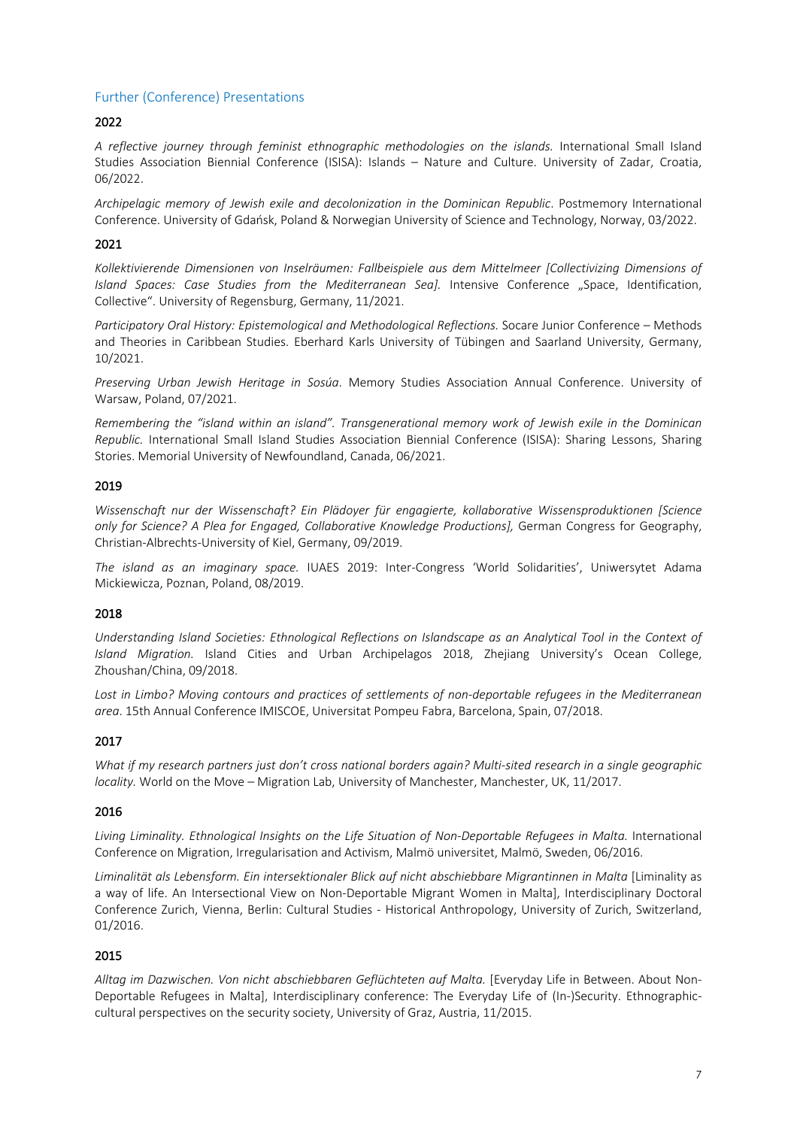# Further (Conference) Presentations

### 2022

*A reflective journey through feminist ethnographic methodologies on the islands.* International Small Island Studies Association Biennial Conference (ISISA): Islands – Nature and Culture. University of Zadar, Croatia, 06/2022.

*Archipelagic memory of Jewish exile and decolonization in the Dominican Republic*. Postmemory International Conference. University of Gdańsk, Poland & Norwegian University of Science and Technology, Norway, 03/2022.

### 2021

*Kollektivierende Dimensionen von Inselräumen: Fallbeispiele aus dem Mittelmeer [Collectivizing Dimensions of*  Island Spaces: Case Studies from the Mediterranean Sea]. Intensive Conference "Space, Identification, Collective". University of Regensburg, Germany, 11/2021.

*Participatory Oral History: Epistemological and Methodological Reflections.* Socare Junior Conference – Methods and Theories in Caribbean Studies. Eberhard Karls University of Tübingen and Saarland University, Germany, 10/2021.

*Preserving Urban Jewish Heritage in Sosúa*. Memory Studies Association Annual Conference. University of Warsaw, Poland, 07/2021.

*Remembering the "island within an island". Transgenerational memory work of Jewish exile in the Dominican Republic.* International Small Island Studies Association Biennial Conference (ISISA): Sharing Lessons, Sharing Stories. Memorial University of Newfoundland, Canada, 06/2021.

### 2019

*Wissenschaft nur der Wissenschaft? Ein Plädoyer für engagierte, kollaborative Wissensproduktionen [Science only for Science? A Plea for Engaged, Collaborative Knowledge Productions],* German Congress for Geography, Christian-Albrechts-University of Kiel, Germany, 09/2019.

*The island as an imaginary space.* IUAES 2019: Inter-Congress 'World Solidarities', Uniwersytet Adama Mickiewicza, Poznan, Poland, 08/2019.

### 2018

*Understanding Island Societies: Ethnological Reflections on Islandscape as an Analytical Tool in the Context of Island Migration.* Island Cities and Urban Archipelagos 2018, Zhejiang University's Ocean College, Zhoushan/China, 09/2018.

*Lost in Limbo? Moving contours and practices of settlements of non-deportable refugees in the Mediterranean area*. 15th Annual Conference IMISCOE, Universitat Pompeu Fabra, Barcelona, Spain, 07/2018.

# 2017

*What if my research partners just don't cross national borders again? Multi-sited research in a single geographic locality.* World on the Move - Migration Lab, University of Manchester, Manchester, UK, 11/2017.

### 2016

*Living Liminality. Ethnological Insights on the Life Situation of Non-Deportable Refugees in Malta.* International Conference on Migration, Irregularisation and Activism, Malmö universitet, Malmö, Sweden, 06/2016.

*Liminalität als Lebensform. Ein intersektionaler Blick auf nicht abschiebbare Migrantinnen in Malta* [Liminality as a way of life. An Intersectional View on Non-Deportable Migrant Women in Malta], Interdisciplinary Doctoral Conference Zurich, Vienna, Berlin: Cultural Studies - Historical Anthropology, University of Zurich, Switzerland, 01/2016.

### 2015

*Alltag im Dazwischen. Von nicht abschiebbaren Geflüchteten auf Malta.* [Everyday Life in Between. About Non-Deportable Refugees in Malta], Interdisciplinary conference: The Everyday Life of (In-)Security. Ethnographiccultural perspectives on the security society, University of Graz, Austria, 11/2015.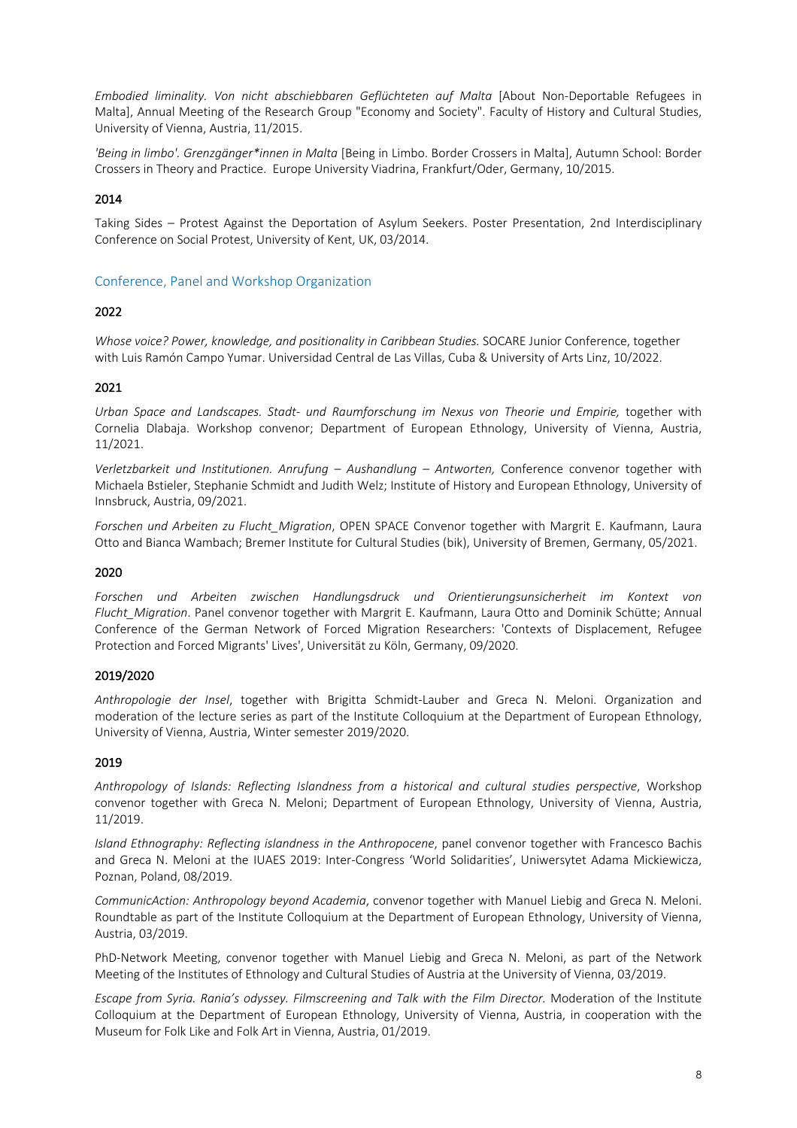*Embodied liminality. Von nicht abschiebbaren Geflüchteten auf Malta* [About Non-Deportable Refugees in Malta], Annual Meeting of the Research Group "Economy and Society". Faculty of History and Cultural Studies, University of Vienna, Austria, 11/2015.

*'Being in limbo'. Grenzgänger\*innen in Malta* [Being in Limbo. Border Crossers in Malta], Autumn School: Border Crossers in Theory and Practice. Europe University Viadrina, Frankfurt/Oder, Germany, 10/2015.

### 2014

Taking Sides – Protest Against the Deportation of Asylum Seekers. Poster Presentation, 2nd Interdisciplinary Conference on Social Protest, University of Kent, UK, 03/2014.

Conference, Panel and Workshop Organization

### 2022

*Whose voice? Power, knowledge, and positionality in Caribbean Studies.* SOCARE Junior Conference, together with Luis Ramón Campo Yumar. Universidad Central de Las Villas, Cuba & University of Arts Linz, 10/2022.

### 2021

*Urban Space and Landscapes. Stadt- und Raumforschung im Nexus von Theorie und Empirie,* together with Cornelia Dlabaja. Workshop convenor; Department of European Ethnology, University of Vienna, Austria, 11/2021.

*Verletzbarkeit und Institutionen. Anrufung – Aushandlung – Antworten,* Conference convenor together with Michaela Bstieler, Stephanie Schmidt and Judith Welz; Institute of History and European Ethnology, University of Innsbruck, Austria, 09/2021.

*Forschen und Arbeiten zu Flucht\_Migration*, OPEN SPACE Convenor together with Margrit E. Kaufmann, Laura Otto and Bianca Wambach; Bremer Institute for Cultural Studies (bik), University of Bremen, Germany, 05/2021.

# 2020

*Forschen und Arbeiten zwischen Handlungsdruck und Orientierungsunsicherheit im Kontext von Flucht\_Migration*. Panel convenor together with Margrit E. Kaufmann, Laura Otto and Dominik Schütte; Annual Conference of the German Network of Forced Migration Researchers: 'Contexts of Displacement, Refugee Protection and Forced Migrants' Lives', Universität zu Köln, Germany, 09/2020.

### 2019/2020

*Anthropologie der Insel*, together with Brigitta Schmidt-Lauber and Greca N. Meloni. Organization and moderation of the lecture series as part of the Institute Colloquium at the Department of European Ethnology, University of Vienna, Austria, Winter semester 2019/2020.

### 2019

*Anthropology of Islands: Reflecting Islandness from a historical and cultural studies perspective*, Workshop convenor together with Greca N. Meloni; Department of European Ethnology, University of Vienna, Austria, 11/2019.

*Island Ethnography: Reflecting islandness in the Anthropocene*, panel convenor together with Francesco Bachis and Greca N. Meloni at the IUAES 2019: Inter-Congress 'World Solidarities', Uniwersytet Adama Mickiewicza, Poznan, Poland, 08/2019.

*CommunicAction: Anthropology beyond Academia*, convenor together with Manuel Liebig and Greca N. Meloni. Roundtable as part of the Institute Colloquium at the Department of European Ethnology, University of Vienna, Austria, 03/2019.

PhD-Network Meeting, convenor together with Manuel Liebig and Greca N. Meloni, as part of the Network Meeting of the Institutes of Ethnology and Cultural Studies of Austria at the University of Vienna, 03/2019.

*Escape from Syria. Rania's odyssey. Filmscreening and Talk with the Film Director.* Moderation of the Institute Colloquium at the Department of European Ethnology, University of Vienna, Austria, in cooperation with the Museum for Folk Like and Folk Art in Vienna, Austria, 01/2019.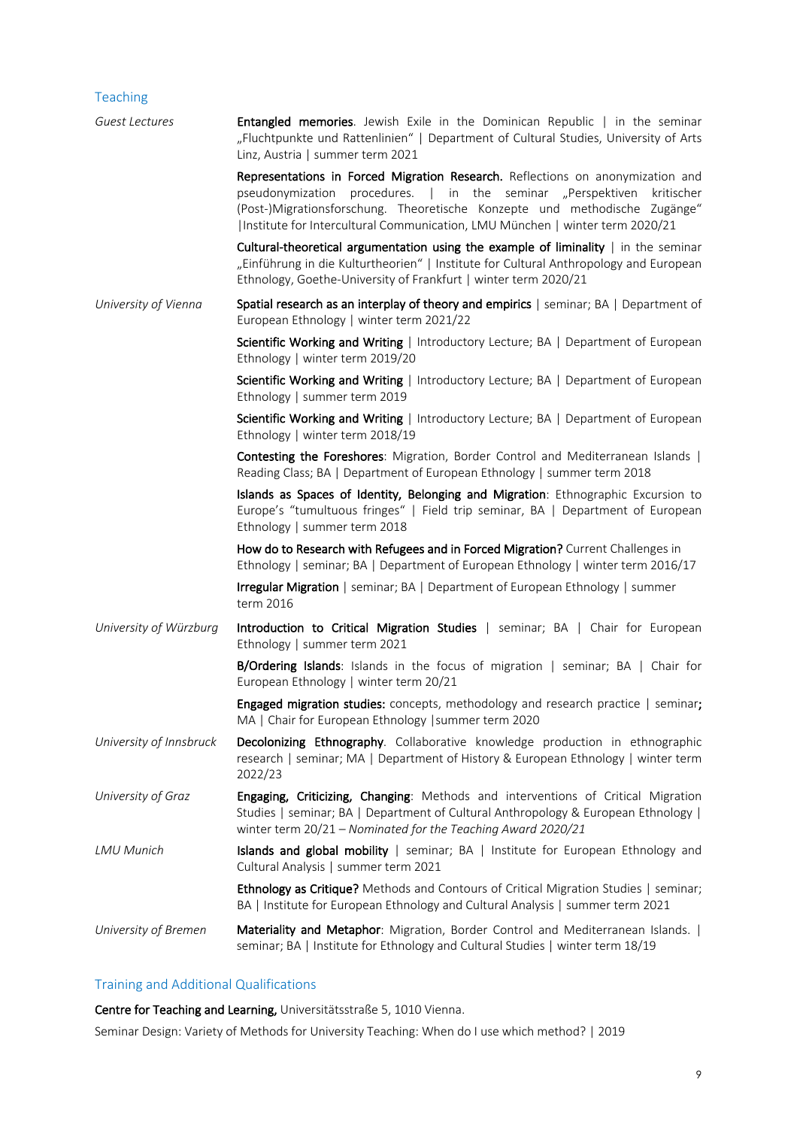# Teaching

| Guest Lectures          | Entangled memories. Jewish Exile in the Dominican Republic   in the seminar<br>"Fluchtpunkte und Rattenlinien"   Department of Cultural Studies, University of Arts<br>Linz, Austria   summer term 2021                                                                                                                    |
|-------------------------|----------------------------------------------------------------------------------------------------------------------------------------------------------------------------------------------------------------------------------------------------------------------------------------------------------------------------|
|                         | Representations in Forced Migration Research. Reflections on anonymization and<br>pseudonymization procedures.   in the seminar "Perspektiven<br>kritischer<br>(Post-)Migrationsforschung. Theoretische Konzepte und methodische Zugänge"<br> Institute for Intercultural Communication, LMU München   winter term 2020/21 |
|                         | Cultural-theoretical argumentation using the example of liminality $ $ in the seminar<br>"Einführung in die Kulturtheorien"   Institute for Cultural Anthropology and European<br>Ethnology, Goethe-University of Frankfurt   winter term 2020/21                                                                          |
| University of Vienna    | Spatial research as an interplay of theory and empirics   seminar; BA   Department of<br>European Ethnology   winter term 2021/22                                                                                                                                                                                          |
|                         | Scientific Working and Writing   Introductory Lecture; BA   Department of European<br>Ethnology   winter term 2019/20                                                                                                                                                                                                      |
|                         | Scientific Working and Writing   Introductory Lecture; BA   Department of European<br>Ethnology   summer term 2019                                                                                                                                                                                                         |
|                         | Scientific Working and Writing   Introductory Lecture; BA   Department of European<br>Ethnology   winter term 2018/19                                                                                                                                                                                                      |
|                         | Contesting the Foreshores: Migration, Border Control and Mediterranean Islands  <br>Reading Class; BA   Department of European Ethnology   summer term 2018                                                                                                                                                                |
|                         | Islands as Spaces of Identity, Belonging and Migration: Ethnographic Excursion to<br>Europe's "tumultuous fringes"   Field trip seminar, BA   Department of European<br>Ethnology   summer term 2018                                                                                                                       |
|                         | How do to Research with Refugees and in Forced Migration? Current Challenges in<br>Ethnology   seminar; BA   Department of European Ethnology   winter term 2016/17                                                                                                                                                        |
|                         | Irregular Migration   seminar; BA   Department of European Ethnology   summer<br>term 2016                                                                                                                                                                                                                                 |
| University of Würzburg  | Introduction to Critical Migration Studies   seminar; BA   Chair for European<br>Ethnology   summer term 2021                                                                                                                                                                                                              |
|                         | B/Ordering Islands: Islands in the focus of migration   seminar; BA   Chair for<br>European Ethnology   winter term 20/21                                                                                                                                                                                                  |
|                         | Engaged migration studies: concepts, methodology and research practice   seminar;<br>MA   Chair for European Ethnology   summer term 2020                                                                                                                                                                                  |
| University of Innsbruck | Decolonizing Ethnography. Collaborative knowledge production in ethnographic<br>research   seminar; MA   Department of History & European Ethnology   winter term<br>2022/23                                                                                                                                               |
| University of Graz      | Engaging, Criticizing, Changing: Methods and interventions of Critical Migration<br>Studies   seminar; BA   Department of Cultural Anthropology & European Ethnology  <br>winter term 20/21 - Nominated for the Teaching Award 2020/21                                                                                     |
| LMU Munich              | Islands and global mobility   seminar; BA   Institute for European Ethnology and<br>Cultural Analysis   summer term 2021                                                                                                                                                                                                   |
|                         | <b>Ethnology as Critique?</b> Methods and Contours of Critical Migration Studies   seminar;<br>BA   Institute for European Ethnology and Cultural Analysis   summer term 2021                                                                                                                                              |
| University of Bremen    | Materiality and Metaphor: Migration, Border Control and Mediterranean Islands.  <br>seminar; BA   Institute for Ethnology and Cultural Studies   winter term 18/19                                                                                                                                                         |
|                         |                                                                                                                                                                                                                                                                                                                            |

# Training and Additional Qualifications

Centre for Teaching and Learning, Universitätsstraße 5, 1010 Vienna.

Seminar Design: Variety of Methods for University Teaching: When do I use which method? | 2019